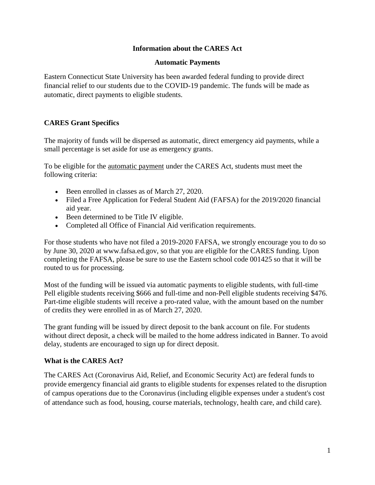### **Information about the CARES Act**

#### **Automatic Payments**

Eastern Connecticut State University has been awarded federal funding to provide direct financial relief to our students due to the COVID-19 pandemic. The funds will be made as automatic, direct payments to eligible students.

## **CARES Grant Specifics**

The majority of funds will be dispersed as automatic, direct emergency aid payments, while a small percentage is set aside for use as emergency grants.

To be eligible for the automatic payment under the CARES Act, students must meet the following criteria:

- Been enrolled in classes as of March 27, 2020.
- Filed a Free Application for Federal Student Aid (FAFSA) for the 2019/2020 financial aid year.
- Been determined to be Title IV eligible.
- Completed all Office of Financial Aid verification requirements.

For those students who have not filed a 2019-2020 FAFSA, we strongly encourage you to do so by June 30, 2020 at www.fafsa.ed.gov, so that you are eligible for the CARES funding. Upon completing the FAFSA, please be sure to use the Eastern school code 001425 so that it will be routed to us for processing.

Most of the funding will be issued via automatic payments to eligible students, with full-time Pell eligible students receiving \$666 and full-time and non-Pell eligible students receiving \$476. Part-time eligible students will receive a pro-rated value, with the amount based on the number of credits they were enrolled in as of March 27, 2020.

The grant funding will be issued by direct deposit to the bank account on file. For students without direct deposit, a check will be mailed to the home address indicated in Banner. To avoid delay, students are encouraged to sign up for direct deposit.

## **What is the CARES Act?**

The CARES Act (Coronavirus Aid, Relief, and Economic Security Act) are federal funds to provide emergency financial aid grants to eligible students for expenses related to the disruption of campus operations due to the Coronavirus (including eligible expenses under a student's cost of attendance such as food, housing, course materials, technology, health care, and child care).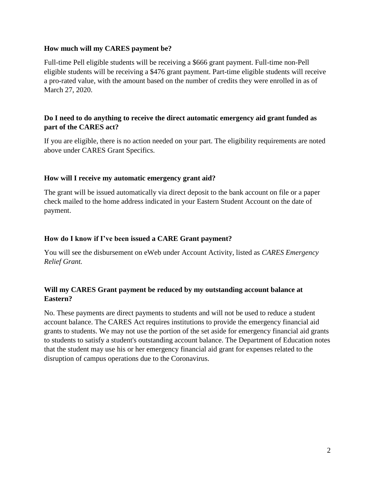### **How much will my CARES payment be?**

Full-time Pell eligible students will be receiving a \$666 grant payment. Full-time non-Pell eligible students will be receiving a \$476 grant payment. Part-time eligible students will receive a pro-rated value, with the amount based on the number of credits they were enrolled in as of March 27, 2020.

## **Do I need to do anything to receive the direct automatic emergency aid grant funded as part of the CARES act?**

If you are eligible, there is no action needed on your part. The eligibility requirements are noted above under CARES Grant Specifics.

## **How will I receive my automatic emergency grant aid?**

The grant will be issued automatically via direct deposit to the bank account on file or a paper check mailed to the home address indicated in your Eastern Student Account on the date of payment.

#### **How do I know if I've been issued a CARE Grant payment?**

You will see the disbursement on eWeb under Account Activity, listed as *CARES Emergency Relief Grant.*

# **Will my CARES Grant payment be reduced by my outstanding account balance at Eastern?**

No. These payments are direct payments to students and will not be used to reduce a student account balance. The CARES Act requires institutions to provide the emergency financial aid grants to students. We may not use the portion of the set aside for emergency financial aid grants to students to satisfy a student's outstanding account balance. The Department of Education notes that the student may use his or her emergency financial aid grant for expenses related to the disruption of campus operations due to the Coronavirus.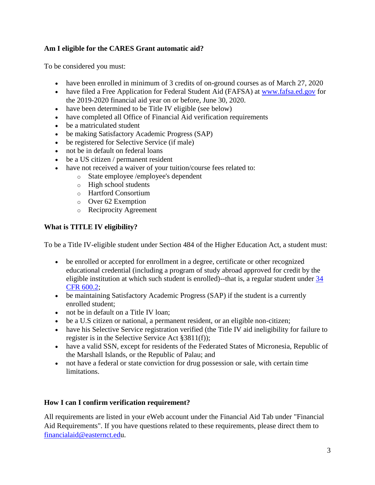# **Am I eligible for the CARES Grant automatic aid?**

To be considered you must:

- have been enrolled in minimum of 3 credits of on-ground courses as of March 27, 2020
- have filed a Free Application for Federal Student Aid (FAFSA) at [www.fafsa.ed.gov](https://studentaid.gov/h/apply-for-aid/fafsa) for the 2019-2020 financial aid year on or before, June 30, 2020.
- have been determined to be Title IV eligible (see below)
- have completed all Office of Financial Aid verification requirements
- be a matriculated student
- be making Satisfactory Academic Progress (SAP)
- be registered for Selective Service (if male)
- not be in default on federal loans
- be a US citizen / permanent resident
- have not received a waiver of your tuition/course fees related to:
	- o State employee /employee's dependent
	- o High school students
	- o Hartford Consortium
	- o Over 62 Exemption
	- o Reciprocity Agreement

## **What is TITLE IV eligibility?**

To be a Title IV-eligible student under Section 484 of the Higher Education Act, a student must:

- be enrolled or accepted for enrollment in a degree, certificate or other recognized educational credential (including a program of study abroad approved for credit by the eligible institution at which such student is enrolled)--that is, a regular student under  $\frac{34}{3}$ [CFR 600.2;](https://www.nasfaa.org/Part_600_Institutional_Eligibility#suba6002)
- be maintaining Satisfactory Academic Progress (SAP) if the student is a currently enrolled student;
- not be in default on a Title IV loan;
- be a U.S citizen or national, a permanent resident, or an eligible non-citizen;
- have his Selective Service registration verified (the Title IV aid ineligibility for failure to register is in the Selective Service Act §3811(f));
- have a valid SSN, except for residents of the Federated States of Micronesia, Republic of the Marshall Islands, or the Republic of Palau; and
- not have a federal or state conviction for drug possession or sale, with certain time limitations.

## **How I can I confirm verification requirement?**

All requirements are listed in your eWeb account under the Financial Aid Tab under "Financial Aid Requirements". If you have questions related to these requirements, please direct them to [financialaid@easternct.edu](mailto:financialaid@easternct.ed).